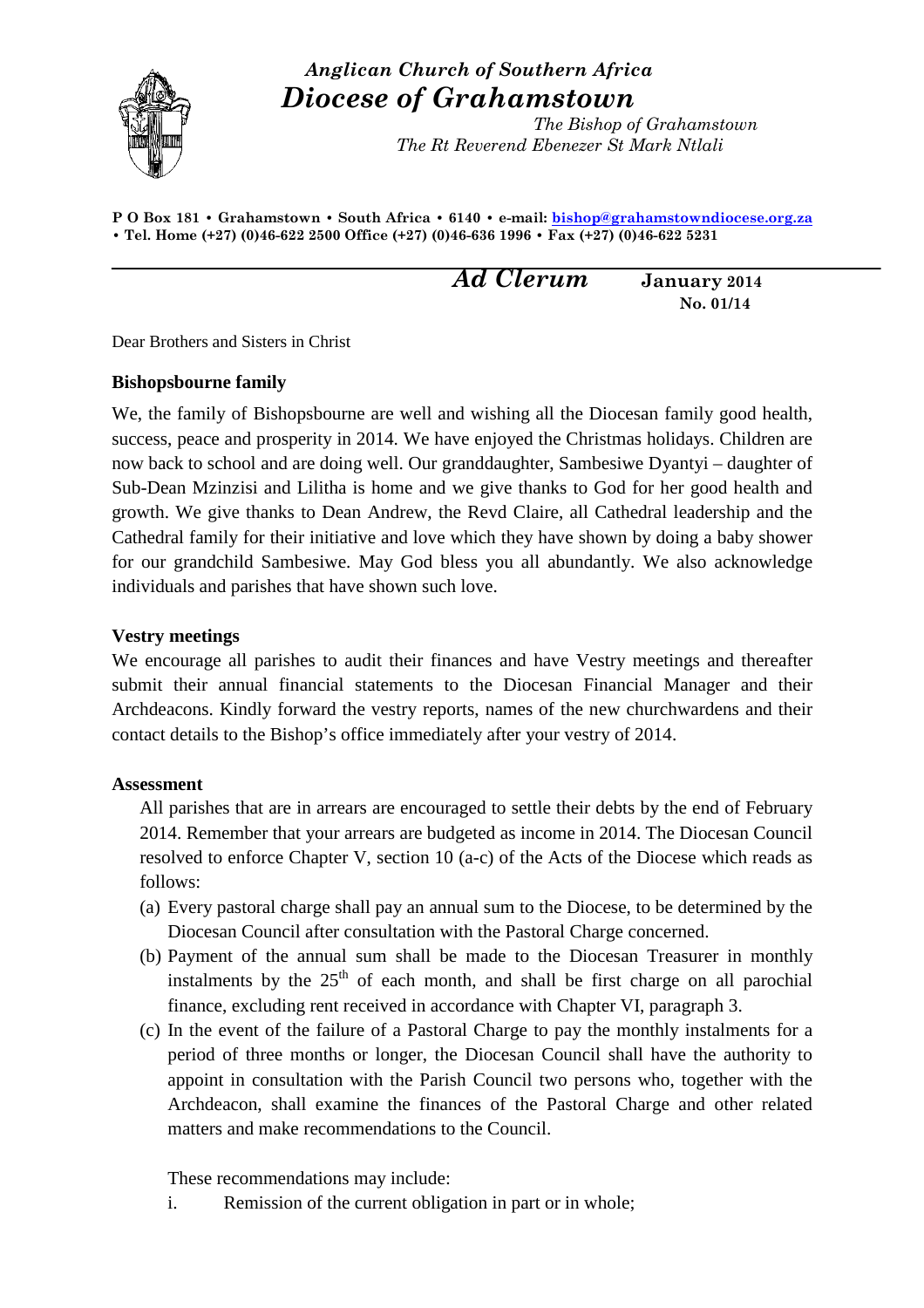

# *Anglican Church of Southern Africa Diocese of Grahamstown*

 *The Bishop of Grahamstown The Rt Reverend Ebenezer St Mark Ntlali*

**P O Box 181 • Grahamstown • South Africa • 6140 • e-mail: bishop@grahamstowndiocese.org.za • Tel. Home (+27) (0)46-622 2500 Office (+27) (0)46-636 1996 • Fax (+27) (0)46-622 5231** 

*Ad Clerum* **January<sup>2014</sup> No. 01/14** 

Dear Brothers and Sisters in Christ

## **Bishopsbourne family**

We, the family of Bishopsbourne are well and wishing all the Diocesan family good health, success, peace and prosperity in 2014. We have enjoyed the Christmas holidays. Children are now back to school and are doing well. Our granddaughter, Sambesiwe Dyantyi – daughter of Sub-Dean Mzinzisi and Lilitha is home and we give thanks to God for her good health and growth. We give thanks to Dean Andrew, the Revd Claire, all Cathedral leadership and the Cathedral family for their initiative and love which they have shown by doing a baby shower for our grandchild Sambesiwe. May God bless you all abundantly. We also acknowledge individuals and parishes that have shown such love.

## **Vestry meetings**

We encourage all parishes to audit their finances and have Vestry meetings and thereafter submit their annual financial statements to the Diocesan Financial Manager and their Archdeacons. Kindly forward the vestry reports, names of the new churchwardens and their contact details to the Bishop's office immediately after your vestry of 2014.

## **Assessment**

All parishes that are in arrears are encouraged to settle their debts by the end of February 2014. Remember that your arrears are budgeted as income in 2014. The Diocesan Council resolved to enforce Chapter V, section 10 (a-c) of the Acts of the Diocese which reads as follows:

- (a) Every pastoral charge shall pay an annual sum to the Diocese, to be determined by the Diocesan Council after consultation with the Pastoral Charge concerned.
- (b) Payment of the annual sum shall be made to the Diocesan Treasurer in monthly instalments by the  $25<sup>th</sup>$  of each month, and shall be first charge on all parochial finance, excluding rent received in accordance with Chapter VI, paragraph 3.
- (c) In the event of the failure of a Pastoral Charge to pay the monthly instalments for a period of three months or longer, the Diocesan Council shall have the authority to appoint in consultation with the Parish Council two persons who, together with the Archdeacon, shall examine the finances of the Pastoral Charge and other related matters and make recommendations to the Council.

These recommendations may include:

i. Remission of the current obligation in part or in whole;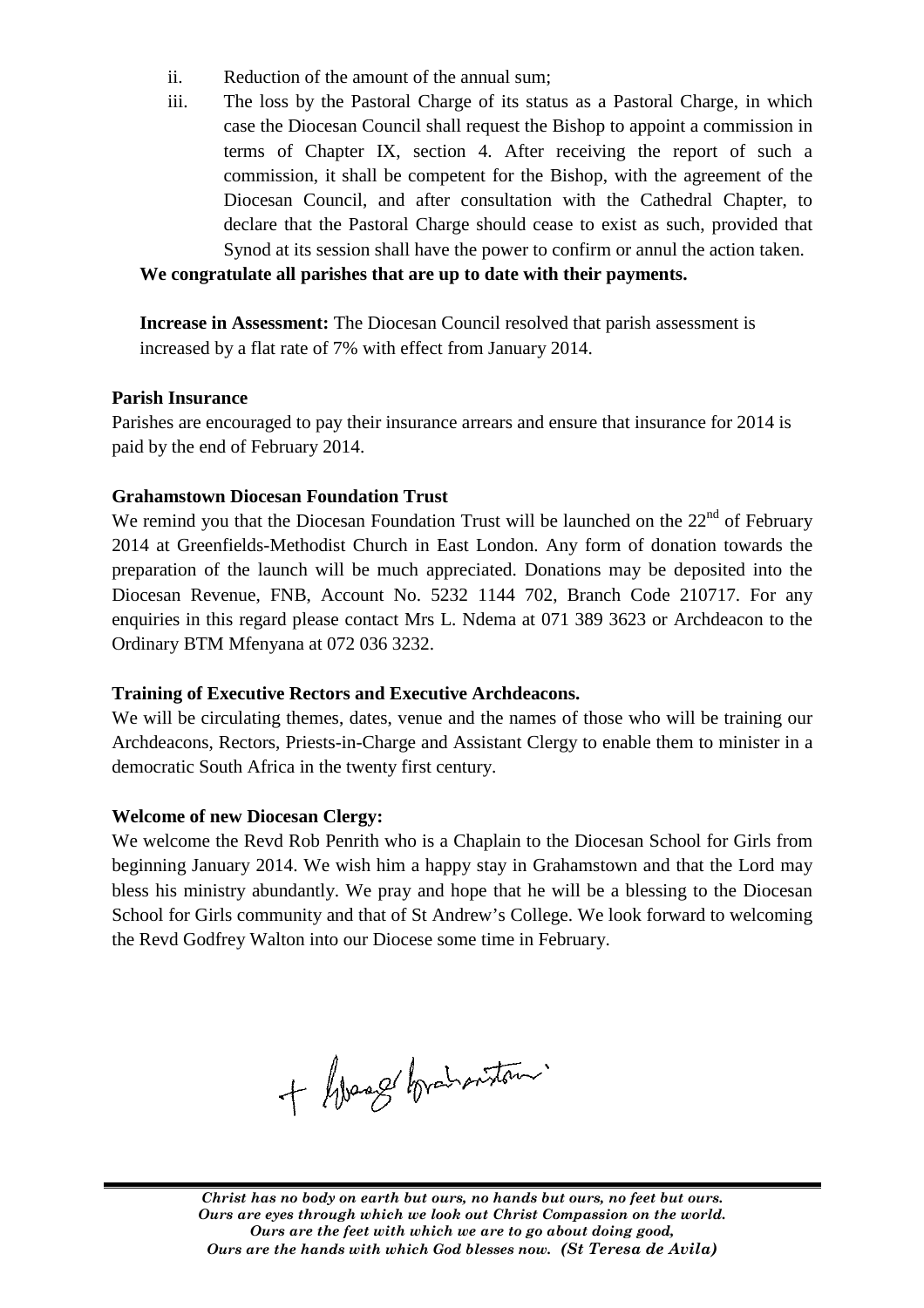- ii. Reduction of the amount of the annual sum;
- iii. The loss by the Pastoral Charge of its status as a Pastoral Charge, in which case the Diocesan Council shall request the Bishop to appoint a commission in terms of Chapter IX, section 4. After receiving the report of such a commission, it shall be competent for the Bishop, with the agreement of Diocesan Council, and after consultation with the Cathedral Chapter, to declare that the Pastoral Charge should cease to exist as such, provided that Synod at its session shall have the power to confirm or annul the action taken. tatus as a Pastoral Charge, in which<br>he Bishop to appoint a commission in<br>er receiving the report of such a<br>e Bishop, with the agreement of the

## **We congratulate all parishes that are up to date with their payments.**

**Increase in Assessment:** The Diocesan Council resolved that parish assessment is increased by a flat rate of 7% 7% with effect from January 2014.

## **Parish Insurance**

Parishes are encouraged to pay their insurance arrears and ensure that insurance for 2014 is paid by the end of February 2014.

## **Grahamstown Diocesan Foundation Trust**

We remind you that the Diocesan Foundation Trust will be launched on the  $22<sup>nd</sup>$  of February 2014 at Greenfields-Methodist Church in East London. Any form of donation towards the preparation of the launch will be much appreciated. Donations may be deposited into the Diocesan Revenue, FNB, Account No. 5232 1144 702, Branch Code 210717. For any Diocesan Revenue, FNB, Account No. 5232 1144 702, Branch Code 210717. For any enquiries in this regard please contact Mrs L. Ndema at 071 389 3623 or Archdeacon to the Ordinary BTM Mfenyana at 072 036 3232. Methodist Church in East London. Any form of donation towards the unch will be much appreciated. Donations may be deposited into the FNB, Account No. 5232 1144 702, Branch Code 210717. For any

## **Training of Executive Rectors and Executive Archdeacons. raining**

We will be circulating themes, dates, venue and the names of those who will be training our Archdeacons, Rectors, Priests-in-Charge and Assistant Clergy to enable them to minister in a democratic South Africa in the twenty first century. Archdeacons, Rectors, Priests-in-Charge and Assistant Clergy to enable them to minister in a<br>democratic South Africa in the twenty first century.<br>Welcome of new Diocesan Clergy:<br>We welcome the Revd Rob Penrith who is a Cha

## **Welcome of new Diocesan Clergy Clergy:**

beginning January 2014. We wish him a happy stay in Grahamstown and that the Lord may bless his ministry abundantly abundantly. We pray and hope that he will be a blessing to the Diocesan School for Girls community and that of St Andrew's College. We look forward to welcoming the Revd Godfrey Walton into our Diocese some time in February.

+ Googe branoniton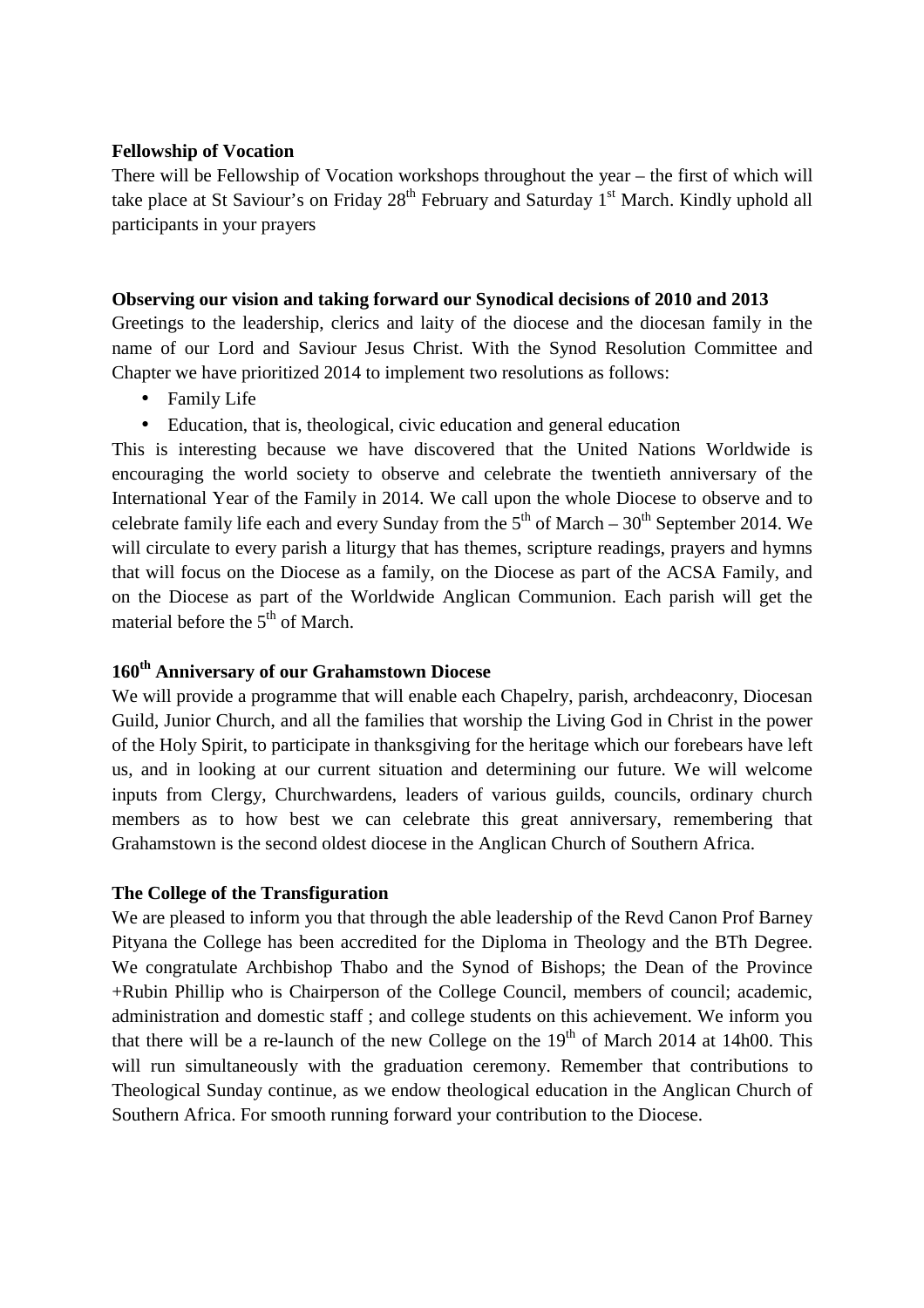#### **Fellowship of Vocation**

There will be Fellowship of Vocation workshops throughout the year – the first of which will take place at St Saviour's on Friday  $28<sup>th</sup>$  February and Saturday  $1<sup>st</sup>$  March. Kindly uphold all participants in your prayers

#### **Observing our vision and taking forward our Synodical decisions of 2010 and 2013**

Greetings to the leadership, clerics and laity of the diocese and the diocesan family in the name of our Lord and Saviour Jesus Christ. With the Synod Resolution Committee and Chapter we have prioritized 2014 to implement two resolutions as follows:

- Family Life
- Education, that is, theological, civic education and general education

This is interesting because we have discovered that the United Nations Worldwide is encouraging the world society to observe and celebrate the twentieth anniversary of the International Year of the Family in 2014. We call upon the whole Diocese to observe and to celebrate family life each and every Sunday from the  $5<sup>th</sup>$  of March – 30<sup>th</sup> September 2014. We will circulate to every parish a liturgy that has themes, scripture readings, prayers and hymns that will focus on the Diocese as a family, on the Diocese as part of the ACSA Family, and on the Diocese as part of the Worldwide Anglican Communion. Each parish will get the material before the  $5<sup>th</sup>$  of March.

## **160th Anniversary of our Grahamstown Diocese**

We will provide a programme that will enable each Chapelry, parish, archdeaconry, Diocesan Guild, Junior Church, and all the families that worship the Living God in Christ in the power of the Holy Spirit, to participate in thanksgiving for the heritage which our forebears have left us, and in looking at our current situation and determining our future. We will welcome inputs from Clergy, Churchwardens, leaders of various guilds, councils, ordinary church members as to how best we can celebrate this great anniversary, remembering that Grahamstown is the second oldest diocese in the Anglican Church of Southern Africa.

#### **The College of the Transfiguration**

We are pleased to inform you that through the able leadership of the Revd Canon Prof Barney Pityana the College has been accredited for the Diploma in Theology and the BTh Degree. We congratulate Archbishop Thabo and the Synod of Bishops; the Dean of the Province +Rubin Phillip who is Chairperson of the College Council, members of council; academic, administration and domestic staff ; and college students on this achievement. We inform you that there will be a re-launch of the new College on the  $19<sup>th</sup>$  of March 2014 at 14h00. This will run simultaneously with the graduation ceremony. Remember that contributions to Theological Sunday continue, as we endow theological education in the Anglican Church of Southern Africa. For smooth running forward your contribution to the Diocese.